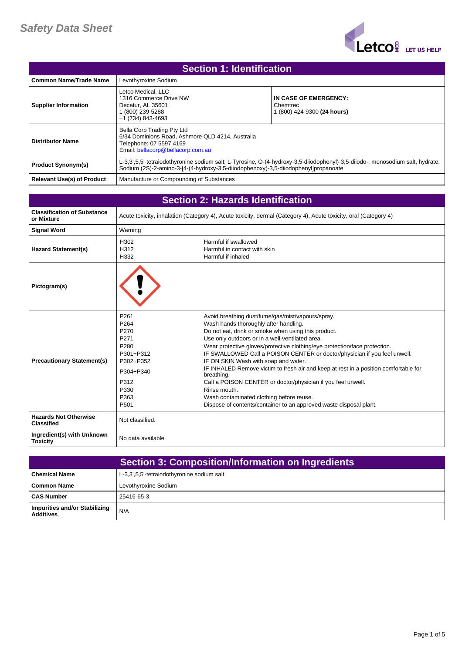

| <b>Section 1: Identification</b>  |                                                                                                                                                |                                                                                                                               |
|-----------------------------------|------------------------------------------------------------------------------------------------------------------------------------------------|-------------------------------------------------------------------------------------------------------------------------------|
| l Common Name/Trade Name          | Levothyroxine Sodium                                                                                                                           |                                                                                                                               |
| <b>Supplier Information</b>       | Letco Medical. LLC<br>1316 Commerce Drive NW<br>Decatur, AL 35601<br>(800) 239-5288<br>+1 (734) 843-4693                                       | IN CASE OF EMERGENCY:<br>Chemtrec<br>1 (800) 424-9300 (24 hours)                                                              |
| <b>Distributor Name</b>           | Bella Corp Trading Pty Ltd<br>6/34 Dominions Road, Ashmore QLD 4214, Australia<br>Telephone: 07 5597 4169<br>Email: bellacorp@bellacorp.com.au |                                                                                                                               |
| <b>Product Synonym(s)</b>         | Sodium (2S)-2-amino-3-[4-(4-hydroxy-3,5-diiodophenoxy)-3,5-diiodophenyl]propanoate                                                             | L-3,3',5,5'-tetraiodothyronine sodium salt; L-Tyrosine, O-(4-hydroxy-3,5-diiodophenyl)-3,5-diiodo-, monosodium salt, hydrate; |
| <b>Relevant Use(s) of Product</b> | Manufacture or Compounding of Substances                                                                                                       |                                                                                                                               |

| <b>Section 2: Hazards Identification</b>          |                                                                                                                                     |                                                                                                                                                                                                                                                                                                                                                                                                                                                                                                                                                                                                                                                                                                                 |
|---------------------------------------------------|-------------------------------------------------------------------------------------------------------------------------------------|-----------------------------------------------------------------------------------------------------------------------------------------------------------------------------------------------------------------------------------------------------------------------------------------------------------------------------------------------------------------------------------------------------------------------------------------------------------------------------------------------------------------------------------------------------------------------------------------------------------------------------------------------------------------------------------------------------------------|
| <b>Classification of Substance</b><br>or Mixture  |                                                                                                                                     | Acute toxicity, inhalation (Category 4), Acute toxicity, dermal (Category 4), Acute toxicity, oral (Category 4)                                                                                                                                                                                                                                                                                                                                                                                                                                                                                                                                                                                                 |
| <b>Signal Word</b>                                | Warning                                                                                                                             |                                                                                                                                                                                                                                                                                                                                                                                                                                                                                                                                                                                                                                                                                                                 |
| <b>Hazard Statement(s)</b>                        | H302<br>H312<br>H332                                                                                                                | Harmful if swallowed<br>Harmful in contact with skin<br>Harmful if inhaled                                                                                                                                                                                                                                                                                                                                                                                                                                                                                                                                                                                                                                      |
| Pictogram(s)                                      |                                                                                                                                     |                                                                                                                                                                                                                                                                                                                                                                                                                                                                                                                                                                                                                                                                                                                 |
| <b>Precautionary Statement(s)</b>                 | P261<br>P <sub>264</sub><br>P270<br>P271<br>P <sub>280</sub><br>P301+P312<br>P302+P352<br>P304+P340<br>P312<br>P330<br>P363<br>P501 | Avoid breathing dust/fume/gas/mist/vapours/spray.<br>Wash hands thoroughly after handling.<br>Do not eat, drink or smoke when using this product.<br>Use only outdoors or in a well-ventilated area.<br>Wear protective gloves/protective clothing/eye protection/face protection.<br>IF SWALLOWED Call a POISON CENTER or doctor/physician if you feel unwell.<br>IF ON SKIN Wash with soap and water.<br>IF INHALED Remove victim to fresh air and keep at rest in a position comfortable for<br>breathing.<br>Call a POISON CENTER or doctor/physician if you feel unwell.<br>Rinse mouth.<br>Wash contaminated clothing before reuse.<br>Dispose of contents/container to an approved waste disposal plant. |
| <b>Hazards Not Otherwise</b><br><b>Classified</b> | Not classified.                                                                                                                     |                                                                                                                                                                                                                                                                                                                                                                                                                                                                                                                                                                                                                                                                                                                 |
| Ingredient(s) with Unknown<br><b>Toxicity</b>     | No data available                                                                                                                   |                                                                                                                                                                                                                                                                                                                                                                                                                                                                                                                                                                                                                                                                                                                 |

|                                                   | <b>Section 3: Composition/Information on Ingredients</b> |
|---------------------------------------------------|----------------------------------------------------------|
| <b>Chemical Name</b>                              | L-3,3',5,5'-tetraiodothyronine sodium salt               |
| Common Name                                       | Levothyroxine Sodium                                     |
| l CAS Number                                      | 25416-65-3                                               |
| Impurities and/or Stabilizing<br><b>Additives</b> | N/A                                                      |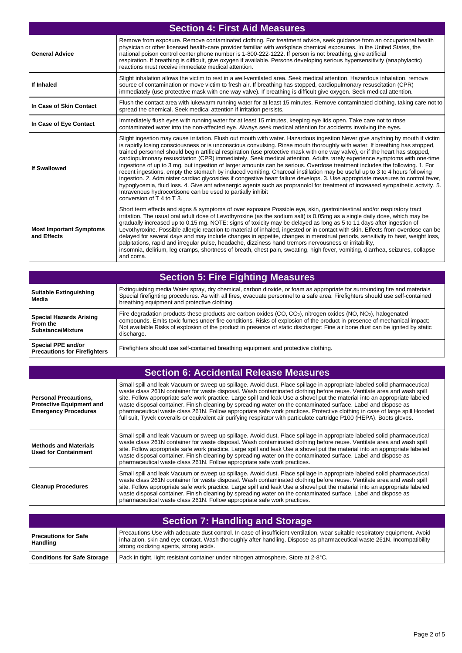| <b>Section 4: First Aid Measures</b>          |                                                                                                                                                                                                                                                                                                                                                                                                                                                                                                                                                                                                                                                                                                                                                                                                                                                                                                                                                                                                                                                                                                                                                            |
|-----------------------------------------------|------------------------------------------------------------------------------------------------------------------------------------------------------------------------------------------------------------------------------------------------------------------------------------------------------------------------------------------------------------------------------------------------------------------------------------------------------------------------------------------------------------------------------------------------------------------------------------------------------------------------------------------------------------------------------------------------------------------------------------------------------------------------------------------------------------------------------------------------------------------------------------------------------------------------------------------------------------------------------------------------------------------------------------------------------------------------------------------------------------------------------------------------------------|
| <b>General Advice</b>                         | Remove from exposure. Remove contaminated clothing. For treatment advice, seek guidance from an occupational health<br>physician or other licensed health-care provider familiar with workplace chemical exposures. In the United States, the<br>national poison control center phone number is 1-800-222-1222. If person is not breathing, give artificial<br>respiration. If breathing is difficult, give oxygen if available. Persons developing serious hypersensitivity (anaphylactic)<br>reactions must receive immediate medical attention.                                                                                                                                                                                                                                                                                                                                                                                                                                                                                                                                                                                                         |
| If Inhaled                                    | Slight inhalation allows the victim to rest in a well-ventilated area. Seek medical attention. Hazardous inhalation, remove<br>source of contamination or move victim to fresh air. If breathing has stopped, cardiopulmonary resuscitation (CPR)<br>immediately (use protective mask with one way valve). If breathing is difficult give oxygen. Seek medical attention.                                                                                                                                                                                                                                                                                                                                                                                                                                                                                                                                                                                                                                                                                                                                                                                  |
| In Case of Skin Contact                       | Flush the contact area with lukewarm running water for at least 15 minutes. Remove contaminated clothing, taking care not to<br>spread the chemical. Seek medical attention if irritation persists.                                                                                                                                                                                                                                                                                                                                                                                                                                                                                                                                                                                                                                                                                                                                                                                                                                                                                                                                                        |
| In Case of Eye Contact                        | Immediately flush eyes with running water for at least 15 minutes, keeping eye lids open. Take care not to rinse<br>contaminated water into the non-affected eye. Always seek medical attention for accidents involving the eyes.                                                                                                                                                                                                                                                                                                                                                                                                                                                                                                                                                                                                                                                                                                                                                                                                                                                                                                                          |
| If Swallowed                                  | Slight ingestion may cause irritation. Flush out mouth with water. Hazardous ingestion Never give anything by mouth if victim<br>is rapidly losing consciousness or is unconscious convulsing. Rinse mouth thoroughly with water. If breathing has stopped,<br>trained personnel should begin artificial respiration (use protective mask with one way valve), or if the heart has stopped,<br>cardiopulmonary resuscitation (CPR) immediately. Seek medical attention. Adults rarely experience symptoms with one-time<br>ingestions of up to 3 mg, but ingestion of larger amounts can be serious. Overdose treatment includes the following. 1. For<br>recent ingestions, empty the stomach by induced vomiting. Charcoal instillation may be useful up to 3 to 4 hours following<br>ingestion. 2. Administer cardiac glycosides if congestive heart failure develops. 3. Use appropriate measures to control fever,<br>hypoglycemia, fluid loss. 4. Give ant adrenergic agents such as propranolol for treatment of increased sympathetic activity. 5.<br>Intravenous hydrocortisone can be used to partially inhibit<br>conversion of $T$ 4 to $T$ 3. |
| <b>Most Important Symptoms</b><br>and Effects | Short term effects and signs & symptoms of over exposure Possible eye, skin, gastrointestinal and/or respiratory tract<br>irritation. The usual oral adult dose of Levothyroxine (as the sodium salt) is 0.05mg as a single daily dose, which may be<br>gradually increased up to 0.15 mg. NOTE: signs of toxicity may be delayed as long as 5 to 11 days after ingestion of<br>Levothyroxine. Possible allergic reaction to material of inhaled, ingested or in contact with skin. Effects from overdose can be<br>delayed for several days and may include changes in appetite, changes in menstrual periods, sensitivity to heat, weight loss,<br>palpitations, rapid and irregular pulse, headache, dizziness hand tremors nervousness or irritability,<br>insomnia, delirium, leg cramps, shortness of breath, chest pain, sweating, high fever, vomiting, diarrhea, seizures, collapse<br>and coma.                                                                                                                                                                                                                                                  |

| Section 5: Fire Fighting Measures                                      |                                                                                                                                                                                                                                                                                                                                                                                                        |
|------------------------------------------------------------------------|--------------------------------------------------------------------------------------------------------------------------------------------------------------------------------------------------------------------------------------------------------------------------------------------------------------------------------------------------------------------------------------------------------|
| <b>Suitable Extinguishing</b><br>Media                                 | Extinguishing media Water spray, dry chemical, carbon dioxide, or foam as appropriate for surrounding fire and materials.<br>Special firefighting procedures. As with all fires, evacuate personnel to a safe area. Firefighters should use self-contained<br>breathing equipment and protective clothing.                                                                                             |
| <b>Special Hazards Arising</b><br>From the<br><b>Substance/Mixture</b> | Fire degradation products these products are carbon oxides (CO, $CO2$ ), nitrogen oxides (NO, NO <sub>2</sub> ), halogenated<br>compounds. Emits toxic fumes under fire conditions. Risks of explosion of the product in presence of mechanical impact:<br>Not available Risks of explosion of the product in presence of static discharger: Fine air bone dust can be ignited by static<br>discharge. |
| Special PPE and/or<br><b>Precautions for Firefighters</b>              | Firefighters should use self-contained breathing equipment and protective clothing.                                                                                                                                                                                                                                                                                                                    |

| <b>Section 6: Accidental Release Measures</b>                                                  |                                                                                                                                                                                                                                                                                                                                                                                                                                                                                                                                                                                                                                                                                                                                                             |  |
|------------------------------------------------------------------------------------------------|-------------------------------------------------------------------------------------------------------------------------------------------------------------------------------------------------------------------------------------------------------------------------------------------------------------------------------------------------------------------------------------------------------------------------------------------------------------------------------------------------------------------------------------------------------------------------------------------------------------------------------------------------------------------------------------------------------------------------------------------------------------|--|
| <b>Personal Precautions.</b><br><b>Protective Equipment and</b><br><b>Emergency Procedures</b> | Small spill and leak Vacuum or sweep up spillage. Avoid dust. Place spillage in appropriate labeled solid pharmaceutical<br>waste class 261N container for waste disposal. Wash contaminated clothing before reuse. Ventilate area and wash spill<br>site. Follow appropriate safe work practice. Large spill and leak Use a shovel put the material into an appropriate labeled<br>waste disposal container. Finish cleaning by spreading water on the contaminated surface. Label and dispose as<br>pharmaceutical waste class 261N. Follow appropriate safe work practices. Protective clothing in case of large spill Hooded<br>full suit, Tyvek coveralls or equivalent air purifying respirator with particulate cartridge P100 (HEPA). Boots gloves. |  |
| <b>Methods and Materials</b><br><b>Used for Containment</b>                                    | Small spill and leak Vacuum or sweep up spillage. Avoid dust. Place spillage in appropriate labeled solid pharmaceutical<br>waste class 261N container for waste disposal. Wash contaminated clothing before reuse. Ventilate area and wash spill<br>site. Follow appropriate safe work practice. Large spill and leak Use a shovel put the material into an appropriate labeled<br>waste disposal container. Finish cleaning by spreading water on the contaminated surface. Label and dispose as<br>pharmaceutical waste class 261N. Follow appropriate safe work practices.                                                                                                                                                                              |  |
| <b>Cleanup Procedures</b>                                                                      | Small spill and leak Vacuum or sweep up spillage. Avoid dust. Place spillage in appropriate labeled solid pharmaceutical<br>waste class 261N container for waste disposal. Wash contaminated clothing before reuse. Ventilate area and wash spill<br>site. Follow appropriate safe work practice. Large spill and leak Use a shovel put the material into an appropriate labeled<br>waste disposal container. Finish cleaning by spreading water on the contaminated surface. Label and dispose as<br>pharmaceutical waste class 261N. Follow appropriate safe work practices.                                                                                                                                                                              |  |

| <b>Section 7: Handling and Storage</b>  |                                                                                                                                                                                                                                                                                                  |
|-----------------------------------------|--------------------------------------------------------------------------------------------------------------------------------------------------------------------------------------------------------------------------------------------------------------------------------------------------|
| Precautions for Safe<br><b>Handling</b> | Precautions Use with adequate dust control. In case of insufficient ventilation, wear suitable respiratory equipment. Avoid<br>inhalation, skin and eye contact. Wash thoroughly after handling. Dispose as pharmaceutical waste 261N. Incompatibility<br>strong oxidizing agents, strong acids. |
| <b>Conditions for Safe Storage</b>      | Pack in tight, light resistant container under nitrogen atmosphere. Store at 2-8°C.                                                                                                                                                                                                              |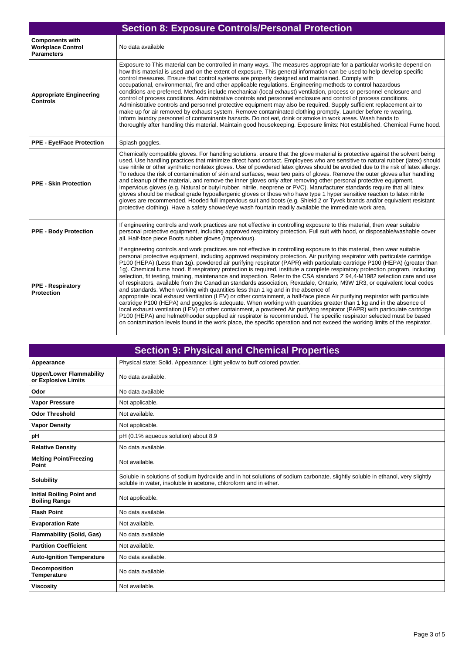| <b>Section 8: Exposure Controls/Personal Protection</b>                 |                                                                                                                                                                                                                                                                                                                                                                                                                                                                                                                                                                                                                                                                                                                                                                                                                                                                                                                                                                                                                                                                                                                                                                                                                                                                                                                                                                                                                                                                                                                         |
|-------------------------------------------------------------------------|-------------------------------------------------------------------------------------------------------------------------------------------------------------------------------------------------------------------------------------------------------------------------------------------------------------------------------------------------------------------------------------------------------------------------------------------------------------------------------------------------------------------------------------------------------------------------------------------------------------------------------------------------------------------------------------------------------------------------------------------------------------------------------------------------------------------------------------------------------------------------------------------------------------------------------------------------------------------------------------------------------------------------------------------------------------------------------------------------------------------------------------------------------------------------------------------------------------------------------------------------------------------------------------------------------------------------------------------------------------------------------------------------------------------------------------------------------------------------------------------------------------------------|
| <b>Components with</b><br><b>Workplace Control</b><br><b>Parameters</b> | No data available                                                                                                                                                                                                                                                                                                                                                                                                                                                                                                                                                                                                                                                                                                                                                                                                                                                                                                                                                                                                                                                                                                                                                                                                                                                                                                                                                                                                                                                                                                       |
| <b>Appropriate Engineering</b><br><b>Controls</b>                       | Exposure to This material can be controlled in many ways. The measures appropriate for a particular worksite depend on<br>how this material is used and on the extent of exposure. This general information can be used to help develop specific<br>control measures. Ensure that control systems are properly designed and maintained. Comply with<br>occupational, environmental, fire and other applicable regulations. Engineering methods to control hazardous<br>conditions are preferred. Methods include mechanical (local exhaust) ventilation, process or personnel enclosure and<br>control of process conditions. Administrative controls and personnel enclosure and control of process conditions.<br>Administrative controls and personnel protective equipment may also be required. Supply sufficient replacement air to<br>make up for air removed by exhaust system. Remove contaminated clothing promptly. Launder before re wearing.<br>Inform laundry personnel of contaminants hazards. Do not eat, drink or smoke in work areas. Wash hands to<br>thoroughly after handling this material. Maintain good housekeeping. Exposure limits: Not established. Chemical Fume hood.                                                                                                                                                                                                                                                                                                                    |
| <b>PPE - Eye/Face Protection</b>                                        | Splash goggles.                                                                                                                                                                                                                                                                                                                                                                                                                                                                                                                                                                                                                                                                                                                                                                                                                                                                                                                                                                                                                                                                                                                                                                                                                                                                                                                                                                                                                                                                                                         |
| <b>PPE - Skin Protection</b>                                            | Chemically compatible gloves. For handling solutions, ensure that the glove material is protective against the solvent being<br>used. Use handling practices that minimize direct hand contact. Employees who are sensitive to natural rubber (latex) should<br>use nitrile or other synthetic nonlatex gloves. Use of powdered latex gloves should be avoided due to the risk of latex allergy.<br>To reduce the risk of contamination of skin and surfaces, wear two pairs of gloves. Remove the outer gloves after handling<br>and cleanup of the material, and remove the inner gloves only after removing other personal protective equipment.<br>Impervious gloves (e.g. Natural or butyl rubber, nitrile, neoprene or PVC). Manufacturer standards require that all latex<br>gloves should be medical grade hypoallergenic gloves or those who have type 1 hyper sensitive reaction to latex nitrile<br>gloves are recommended. Hooded full impervious suit and boots (e.g. Shield 2 or Tyvek brands and/or equivalent resistant<br>protective clothing). Have a safety shower/eye wash fountain readily available the immediate work area.                                                                                                                                                                                                                                                                                                                                                                      |
| <b>PPE - Body Protection</b>                                            | If engineering controls and work practices are not effective in controlling exposure to this material, then wear suitable<br>personal protective equipment, including approved respiratory protection. Full suit with hood, or disposable/washable cover<br>all. Half-face piece Boots rubber gloves (impervious).                                                                                                                                                                                                                                                                                                                                                                                                                                                                                                                                                                                                                                                                                                                                                                                                                                                                                                                                                                                                                                                                                                                                                                                                      |
| <b>PPE - Respiratory</b><br><b>Protection</b>                           | If engineering controls and work practices are not effective in controlling exposure to this material, then wear suitable<br>personal protective equipment, including approved respiratory protection. Air purifying respirator with particulate cartridge<br>P100 (HEPA) (Less than 1g). powdered air purifying respirator (PAPR) with particulate cartridge P100 (HEPA) (greater than<br>1q). Chemical fume hood. If respiratory protection is required, institute a complete respiratory protection program, including<br>selection, fit testing, training, maintenance and inspection. Refer to the CSA standard Z 94,4-M1982 selection care and use<br>of respirators, available from the Canadian standards association, Rexadale, Ontario, M9W 1R3, or equivalent local codes<br>and standards. When working with quantities less than 1 kg and in the absence of<br>appropriate local exhaust ventilation (LEV) or other containment, a half-face piece Air purifying respirator with particulate<br>cartridge P100 (HEPA) and goggles is adequate. When working with quantities greater than 1 kg and in the absence of<br>local exhaust ventilation (LEV) or other containment, a powdered Air purifying respirator (PAPR) with particulate cartridge<br>P100 (HEPA) and helmet/hooder supplied air respirator is recommended. The specific respirator selected must be based<br>on contamination levels found in the work place, the specific operation and not exceed the working limits of the respirator. |

| <b>Section 9: Physical and Chemical Properties</b>       |                                                                                                                                                                                                   |
|----------------------------------------------------------|---------------------------------------------------------------------------------------------------------------------------------------------------------------------------------------------------|
| Appearance                                               | Physical state: Solid. Appearance: Light yellow to buff colored powder.                                                                                                                           |
| <b>Upper/Lower Flammability</b><br>or Explosive Limits   | No data available.                                                                                                                                                                                |
| Odor                                                     | No data available                                                                                                                                                                                 |
| <b>Vapor Pressure</b>                                    | Not applicable.                                                                                                                                                                                   |
| <b>Odor Threshold</b>                                    | Not available.                                                                                                                                                                                    |
| <b>Vapor Density</b>                                     | Not applicable.                                                                                                                                                                                   |
| рH                                                       | pH (0.1% aqueous solution) about 8.9                                                                                                                                                              |
| <b>Relative Density</b>                                  | No data available.                                                                                                                                                                                |
| <b>Melting Point/Freezing</b><br>Point                   | Not available.                                                                                                                                                                                    |
| <b>Solubility</b>                                        | Soluble in solutions of sodium hydroxide and in hot solutions of sodium carbonate, slightly soluble in ethanol, very slightly<br>soluble in water, insoluble in acetone, chloroform and in ether. |
| <b>Initial Boiling Point and</b><br><b>Boiling Range</b> | Not applicable.                                                                                                                                                                                   |
| <b>Flash Point</b>                                       | No data available.                                                                                                                                                                                |
| <b>Evaporation Rate</b>                                  | Not available.                                                                                                                                                                                    |
| <b>Flammability (Solid, Gas)</b>                         | No data available                                                                                                                                                                                 |
| <b>Partition Coefficient</b>                             | Not available.                                                                                                                                                                                    |
| <b>Auto-Ignition Temperature</b>                         | No data available.                                                                                                                                                                                |
| <b>Decomposition</b><br><b>Temperature</b>               | No data available.                                                                                                                                                                                |
| <b>Viscosity</b>                                         | Not available.                                                                                                                                                                                    |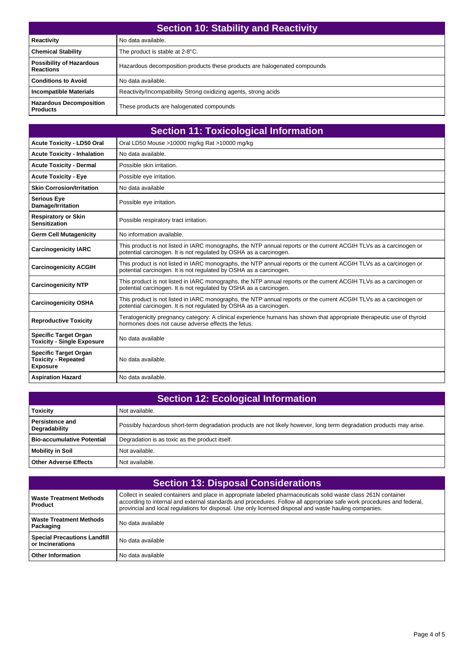| <b>Section 10: Stability and Reactivity</b>         |                                                                           |
|-----------------------------------------------------|---------------------------------------------------------------------------|
| <b>Reactivity</b>                                   | No data available.                                                        |
| <b>Chemical Stability</b>                           | The product is stable at 2-8°C.                                           |
| <b>Possibility of Hazardous</b><br><b>Reactions</b> | Hazardous decomposition products these products are halogenated compounds |
| <b>Conditions to Avoid</b>                          | No data available.                                                        |
| <b>Incompatible Materials</b>                       | Reactivity/Incompatibility Strong oxidizing agents, strong acids          |
| <b>Hazardous Decomposition</b><br><b>Products</b>   | These products are halogenated compounds                                  |

| <b>Section 11: Toxicological Information</b>                                  |                                                                                                                                                                                          |  |
|-------------------------------------------------------------------------------|------------------------------------------------------------------------------------------------------------------------------------------------------------------------------------------|--|
| <b>Acute Toxicity - LD50 Oral</b>                                             | Oral LD50 Mouse >10000 mg/kg Rat >10000 mg/kg                                                                                                                                            |  |
| <b>Acute Toxicity - Inhalation</b>                                            | No data available.                                                                                                                                                                       |  |
| <b>Acute Toxicity - Dermal</b>                                                | Possible skin irritation.                                                                                                                                                                |  |
| <b>Acute Toxicity - Eye</b>                                                   | Possible eye irritation.                                                                                                                                                                 |  |
| <b>Skin Corrosion/Irritation</b>                                              | No data available                                                                                                                                                                        |  |
| <b>Serious Eye</b><br>Damage/Irritation                                       | Possible eye irritation.                                                                                                                                                                 |  |
| <b>Respiratory or Skin</b><br><b>Sensitization</b>                            | Possible respiratory tract irritation.                                                                                                                                                   |  |
| <b>Germ Cell Mutagenicity</b>                                                 | No information available.                                                                                                                                                                |  |
| <b>Carcinogenicity IARC</b>                                                   | This product is not listed in IARC monographs, the NTP annual reports or the current ACGIH TLVs as a carcinogen or<br>potential carcinogen. It is not regulated by OSHA as a carcinogen. |  |
| <b>Carcinogenicity ACGIH</b>                                                  | This product is not listed in IARC monographs, the NTP annual reports or the current ACGIH TLVs as a carcinogen or<br>potential carcinogen. It is not regulated by OSHA as a carcinogen. |  |
| <b>Carcinogenicity NTP</b>                                                    | This product is not listed in IARC monographs, the NTP annual reports or the current ACGIH TLVs as a carcinogen or<br>potential carcinogen. It is not regulated by OSHA as a carcinogen. |  |
| <b>Carcinogenicity OSHA</b>                                                   | This product is not listed in IARC monographs, the NTP annual reports or the current ACGIH TLVs as a carcinogen or<br>potential carcinogen. It is not regulated by OSHA as a carcinogen. |  |
| <b>Reproductive Toxicity</b>                                                  | Teratogenicity pregnancy category: A clinical experience humans has shown that appropriate therapeutic use of thyroid<br>hormones does not cause adverse effects the fetus.              |  |
| <b>Specific Target Organ</b><br><b>Toxicity - Single Exposure</b>             | No data available                                                                                                                                                                        |  |
| <b>Specific Target Organ</b><br><b>Toxicity - Repeated</b><br><b>Exposure</b> | No data available.                                                                                                                                                                       |  |
| <b>Aspiration Hazard</b>                                                      | No data available.                                                                                                                                                                       |  |

| <b>Section 12: Ecological Information</b> |                                                                                                                      |
|-------------------------------------------|----------------------------------------------------------------------------------------------------------------------|
| <b>Toxicity</b>                           | Not available.                                                                                                       |
| Persistence and<br>Degradability          | Possibly hazardous short-term degradation products are not likely however, long term degradation products may arise. |
| <b>Bio-accumulative Potential</b>         | Degradation is as toxic as the product itself.                                                                       |
| <b>Mobility in Soil</b>                   | Not available.                                                                                                       |
| <b>Other Adverse Effects</b>              | Not available.                                                                                                       |

| <b>Section 13: Disposal Considerations</b>              |                                                                                                                                                                                                                                                                                                                                                   |
|---------------------------------------------------------|---------------------------------------------------------------------------------------------------------------------------------------------------------------------------------------------------------------------------------------------------------------------------------------------------------------------------------------------------|
| <b>Waste Treatment Methods</b><br><b>Product</b>        | Collect in sealed containers and place in appropriate labeled pharmaceuticals solid waste class 261N container<br>according to internal and external standards and procedures. Follow all appropriate safe work procedures and federal,<br>provincial and local requlations for disposal. Use only licensed disposal and waste hauling companies. |
| <b>Waste Treatment Methods</b><br>Packaging             | No data available                                                                                                                                                                                                                                                                                                                                 |
| <b>Special Precautions Landfill</b><br>or Incinerations | No data available                                                                                                                                                                                                                                                                                                                                 |
| <b>Other Information</b>                                | No data available                                                                                                                                                                                                                                                                                                                                 |